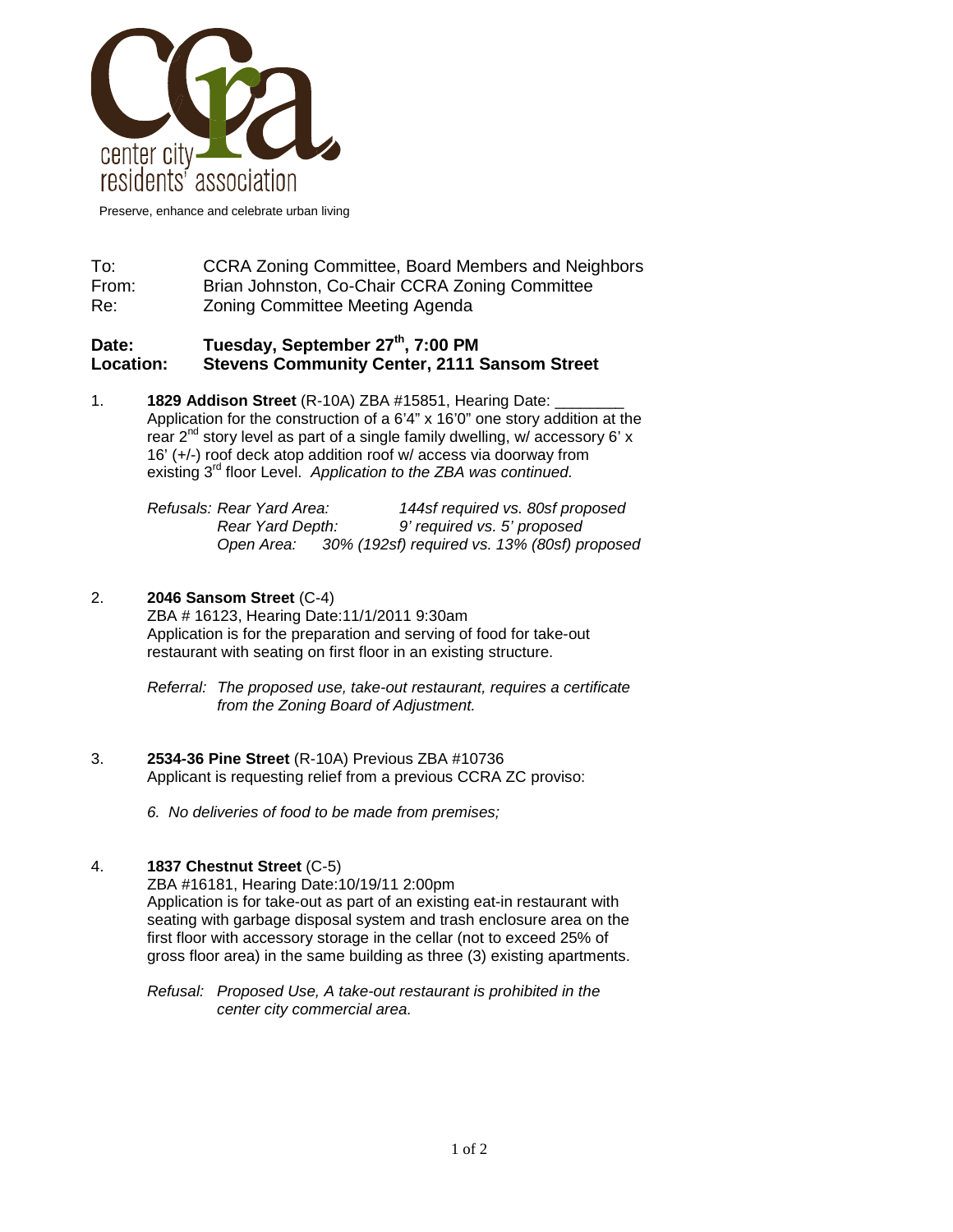

Preserve, enhance and celebrate urban living

# To: CCRA Zoning Committee, Board Members and Neighbors From: Brian Johnston, Co-Chair CCRA Zoning Committee Re: Zoning Committee Meeting Agenda

# Date: Tuesday, September 27<sup>th</sup>, 7:00 PM<br>Location: Stevens Community Center, 2111 S **Location: Stevens Community Center, 2111 Sansom Street**

1. **1829 Addison Street** (R-10A) ZBA #15851, Hearing Date: \_\_\_\_\_\_\_\_ Application for the construction of a 6'4" x 16'0" one story addition at the rear  $2^{nd}$  story level as part of a single family dwelling, w/ accessory 6' x 16' (+/-) roof deck atop addition roof w/ access via doorway from existing 3rd floor Level. *Application to the ZBA was continued.*

| Refusals: Rear Yard Area: | 144sf required vs. 80sf proposed             |  |
|---------------------------|----------------------------------------------|--|
| Rear Yard Depth:          | 9' required vs. 5' proposed                  |  |
| Open Area:                | 30% (192sf) required vs. 13% (80sf) proposed |  |

## 2. **2046 Sansom Street** (C-4)

ZBA # 16123, Hearing Date:11/1/2011 9:30am Application is for the preparation and serving of food for take-out restaurant with seating on first floor in an existing structure.

*Referral: The proposed use, take-out restaurant, requires a certificate from the Zoning Board of Adjustment.*

#### 3. **2534-36 Pine Street** (R-10A) Previous ZBA #10736 Applicant is requesting relief from a previous CCRA ZC proviso:

*6. No deliveries of food to be made from premises;*

## 4. **1837 Chestnut Street** (C-5)

ZBA #16181, Hearing Date:10/19/11 2:00pm Application is for take-out as part of an existing eat-in restaurant with seating with garbage disposal system and trash enclosure area on the first floor with accessory storage in the cellar (not to exceed 25% of gross floor area) in the same building as three (3) existing apartments.

*Refusal: Proposed Use, A take-out restaurant is prohibited in the center city commercial area.*